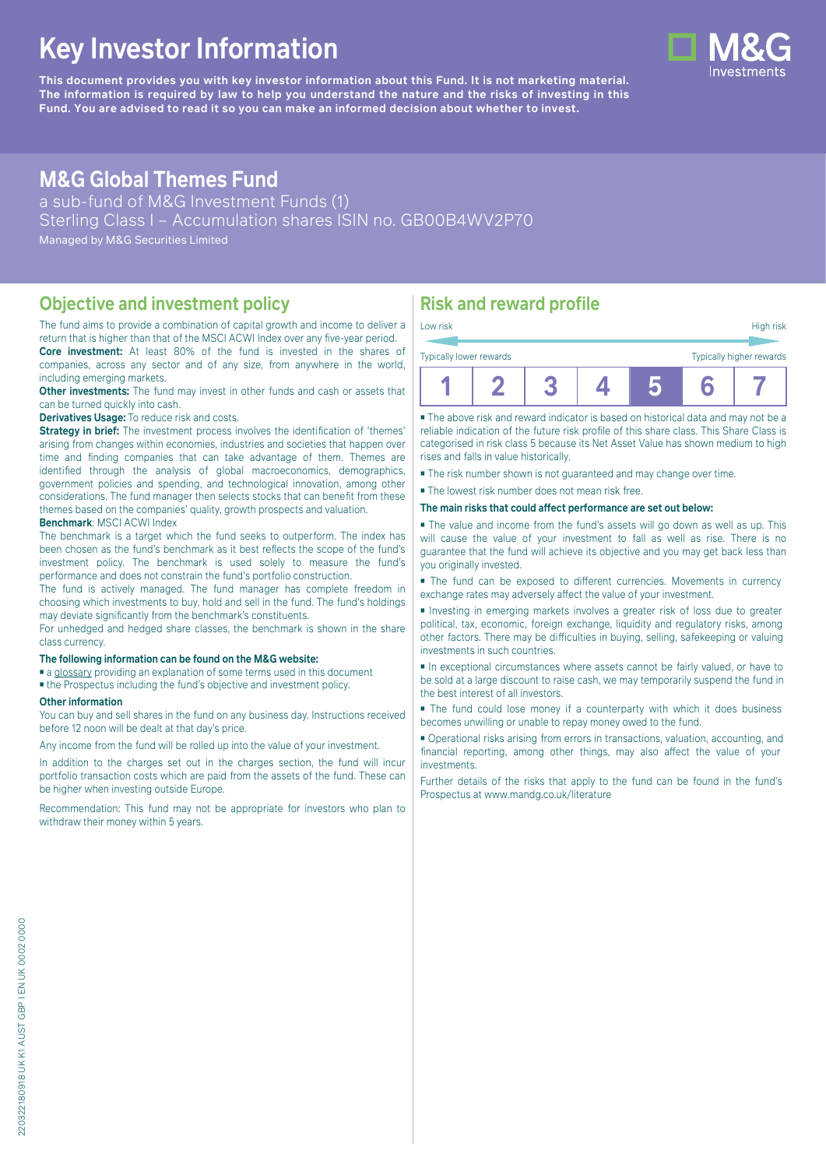# **Key Investor Information**

**This document provides you with key investor information about this Fund. It is not marketing material.** The information is required by law to help you understand the nature and the risks of investing in this **Fund. You are advised to read it so you can make an informed decision about whether to invest.**

## **M&G Global Themes Fund**

a sub-fund of M&G Investment Funds (1) Sterling Class I – Accumulation shares ISIN no. GB00B4WV2P70 Managed by M&G Securities Limited

#### **Objective and investment policy**

The fund aims to provide a combination of capital growth and income to deliver a return that is higher than that of the MSCI ACWI Index over any five-year period. **Core investment:** At least 80% of the fund is invested in the shares of

companies, across any sector and of any size, from anywhere in the world, including emerging markets. **Other investments:** The fund may invest in other funds and cash or assets that

can be turned quickly into cash.

**Derivatives Usage:** To reduce risk and costs.

**Strategy in brief:** The investment process involves the identification of 'themes' arising from changes within economies, industries and societies that happen over time and finding companies that can take advantage of them. Themes are identified through the analysis of global macroeconomics, demographics, government policies and spending, and technological innovation, among other considerations. The fund manager then selects stocks that can benefit from these themes based on the companies' quality, growth prospects and valuation. **Benchmark**: MSCI ACWI Index

The benchmark is a target which the fund seeks to outperform. The index has been chosen as the fund's benchmark as it best reflects the scope of the fund's investment policy. The benchmark is used solely to measure the fund's performance and does not constrain the fund's portfolio construction.

The fund is actively managed. The fund manager has complete freedom in choosing which investments to buy, hold and sell in the fund. The fund's holdings may deviate significantly from the benchmark's constituents.

For unhedged and hedged share classes, the benchmark is shown in the share class currency.

#### **The following information can be found on the M&G website:**

■ [a glossary](https://docs.mandg.com/docs/glossary-master-en.pdf) providing an explanation of some terms used in this document

■ the Prospectus including the fund's objective and investment policy.

#### **Other information**

You can buy and sell shares in the fund on any business day. Instructions received before 12 noon will be dealt at that day's price.

Any income from the fund will be rolled up into the value of your investment.

In addition to the charges set out in the charges section, the fund will incur portfolio transaction costs which are paid from the assets of the fund. These can be higher when investing outside Europe.

Recommendation: This fund may not be appropriate for investors who plan to withdraw their money within 5 years.

### **Risk and reward profile**

| Low risk                                            |  |  |  |  |  | High risk |
|-----------------------------------------------------|--|--|--|--|--|-----------|
| Typically higher rewards<br>Typically lower rewards |  |  |  |  |  |           |
|                                                     |  |  |  |  |  |           |

■ The above risk and reward indicator is based on historical data and may not be a reliable indication of the future risk profile of this share class. This Share Class is categorised in risk class 5 because its Net Asset Value has shown medium to high rises and falls in value historically.

■ The risk number shown is not guaranteed and may change over time.

■ The lowest risk number does not mean risk free.

**The main risks that could affect performance are set out below:**

■ The value and income from the fund's assets will go down as well as up. This will cause the value of your investment to fall as well as rise. There is no guarantee that the fund will achieve its objective and you may get back less than you originally invested.

■ The fund can be exposed to different currencies. Movements in currency exchange rates may adversely affect the value of your investment.

■ Investing in emerging markets involves a greater risk of loss due to greater political, tax, economic, foreign exchange, liquidity and regulatory risks, among other factors. There may be difficulties in buying, selling, safekeeping or valuing investments in such countries.

■ In exceptional circumstances where assets cannot be fairly valued, or have to be sold at a large discount to raise cash, we may temporarily suspend the fund in the best interest of all investors.

■ The fund could lose money if a counterparty with which it does business becomes unwilling or unable to repay money owed to the fund.

■ Operational risks arising from errors in transactions, valuation, accounting, and financial reporting, among other things, may also affect the value of your investments.

Further details of the risks that apply to the fund can be found in the fund's Prospectus at [www.mandg.co.uk/literature](http://www.mandg.co.uk/literature)